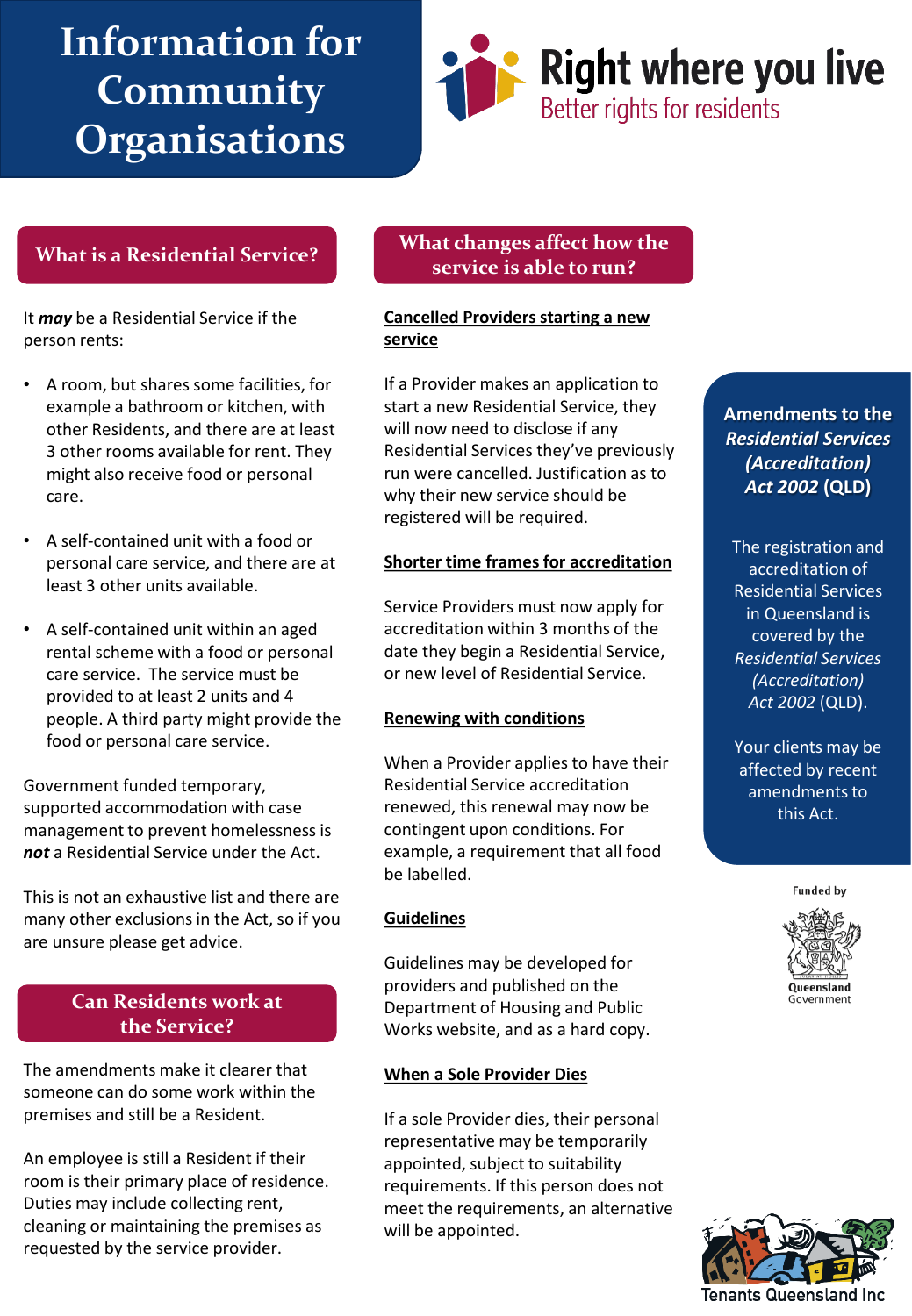# **Information for Community Organisations**



## **What is a Residential Service?**

It *may* be a Residential Service if the person rents:

- A room, but shares some facilities, for example a bathroom or kitchen, with other Residents, and there are at least 3 other rooms available for rent. They might also receive food or personal care.
- A self-contained unit with a food or personal care service, and there are at least 3 other units available.
- A self-contained unit within an aged rental scheme with a food or personal care service. The service must be provided to at least 2 units and 4 people. A third party might provide the food or personal care service.

Government funded temporary, supported accommodation with case management to prevent homelessness is *not* a Residential Service under the Act.

This is not an exhaustive list and there are many other exclusions in the Act, so if you are unsure please get advice.

# **Can Residents work at the Service?**

The amendments make it clearer that someone can do some work within the premises and still be a Resident.

An employee is still a Resident if their room is their primary place of residence. Duties may include collecting rent, cleaning or maintaining the premises as requested by the service provider.

### **What changes affect how the service is able to run?**

**Cancelled Providers starting a new service** 

If a Provider makes an application to start a new Residential Service, they will now need to disclose if any Residential Services they've previously run were cancelled. Justification as to why their new service should be registered will be required.

#### **Shorter time frames for accreditation**

Service Providers must now apply for accreditation within 3 months of the date they begin a Residential Service, or new level of Residential Service.

#### **Renewing with conditions**

When a Provider applies to have their Residential Service accreditation renewed, this renewal may now be contingent upon conditions. For example, a requirement that all food be labelled.

#### **Guidelines**

Guidelines may be developed for providers and published on the Department of Housing and Public Works website, and as a hard copy.

#### **When a Sole Provider Dies**

If a sole Provider dies, their personal representative may be temporarily appointed, subject to suitability requirements. If this person does not meet the requirements, an alternative will be appointed.

**Amendments to the**  *Residential Services (Accreditation) Act 2002* **(QLD)**

The registration and accreditation of Residential Services in Queensland is covered by the *Residential Services (Accreditation) Act 2002* (QLD).

Your clients may be affected by recent amendments to this Act.

**Funded by**